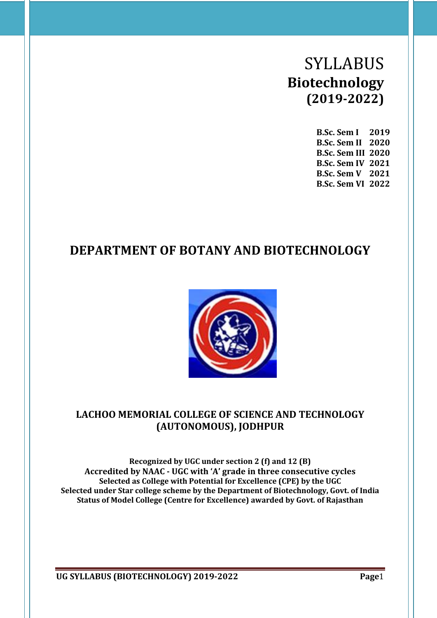# SYLLABUS **Biotechnology (2019-2022)**

**B.Sc. Sem I 2019 B.Sc. Sem II 2020 B.Sc. Sem III 2020 B.Sc. Sem IV 2021 B.Sc. Sem V 2021 B.Sc. Sem VI 2022**

## **DEPARTMENT OF BOTANY AND BIOTECHNOLOGY**



### **LACHOO MEMORIAL COLLEGE OF SCIENCE AND TECHNOLOGY (AUTONOMOUS), JODHPUR**

**Recognized by UGC under section 2 (f) and 12 (B) Accredited by NAAC - UGC with 'A' grade in three consecutive cycles Selected as College with Potential for Excellence (CPE) by the UGC Selected under Star college scheme by the Department of Biotechnology, Govt. of India Status of Model College (Centre for Excellence) awarded by Govt. of Rajasthan**

**UG SYLLABUS (BIOTECHNOLOGY) 2019-2022 Page**1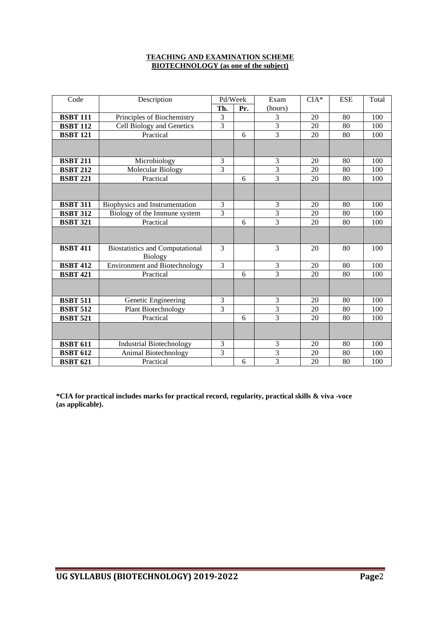#### **TEACHING AND EXAMINATION SCHEME BIOTECHNOLOGY (as one of the subject)**

| Code            | Description                                              | Pd/Week        |     | Exam                    | $CIA*$ | <b>ESE</b> | Total |
|-----------------|----------------------------------------------------------|----------------|-----|-------------------------|--------|------------|-------|
|                 |                                                          | Th.            | Pr. | (hours)                 |        |            |       |
| <b>BSBT 111</b> | Principles of Biochemistry                               | 3              |     | 3                       | 20     | 80         | 100   |
| <b>BSBT 112</b> | Cell Biology and Genetics                                | 3              |     | 3                       | 20     | 80         | 100   |
| <b>BSBT 121</b> | Practical                                                |                | 6   | 3                       | 20     | 80         | 100   |
|                 |                                                          |                |     |                         |        |            |       |
| <b>BSBT 211</b> | Microbiology                                             | 3              |     | 3                       | 20     | 80         | 100   |
| <b>BSBT 212</b> | Molecular Biology                                        | 3              |     | 3                       | 20     | 80         | 100   |
| <b>BSBT 221</b> | Practical                                                |                | 6   | 3                       | 20     | 80         | 100   |
|                 |                                                          |                |     |                         |        |            |       |
| <b>BSBT 311</b> | Biophysics and Instrumentation                           | 3              |     | 3                       | 20     | 80         | 100   |
| <b>BSBT 312</b> | Biology of the Immune system                             | 3              |     | $\overline{\mathbf{3}}$ | 20     | 80         | 100   |
| <b>BSBT 321</b> | Practical                                                |                | 6   | $\overline{3}$          | 20     | 80         | 100   |
|                 |                                                          |                |     |                         |        |            |       |
| <b>BSBT 411</b> | <b>Biostatistics and Computational</b><br><b>Biology</b> | 3              |     | 3                       | 20     | 80         | 100   |
| <b>BSBT 412</b> | <b>Environment and Biotechnology</b>                     | 3              |     | 3                       | 20     | 80         | 100   |
| <b>BSBT 421</b> | Practical                                                |                | 6   | $\overline{3}$          | 20     | 80         | 100   |
|                 |                                                          |                |     |                         |        |            |       |
| <b>BSBT 511</b> | Genetic Engineering                                      | 3              |     | 3                       | 20     | 80         | 100   |
| <b>BSBT 512</b> | Plant Biotechnology                                      | $\overline{3}$ |     | 3                       | 20     | 80         | 100   |
| <b>BSBT 521</b> | Practical                                                |                | 6   | $\overline{3}$          | 20     | 80         | 100   |
|                 |                                                          |                |     |                         |        |            |       |
| <b>BSBT 611</b> | <b>Industrial Biotechnology</b>                          | 3              |     | 3                       | 20     | 80         | 100   |
| <b>BSBT 612</b> | Animal Biotechnology                                     | $\overline{3}$ |     | $\overline{3}$          | 20     | 80         | 100   |
| <b>BSBT 621</b> | Practical                                                |                | 6   | 3                       | 20     | 80         | 100   |

**\*CIA for practical includes marks for practical record, regularity, practical skills & viva -voce (as applicable).**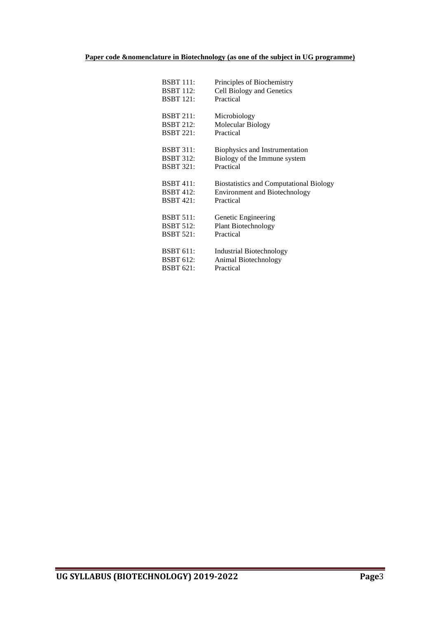#### **Paper code &nomenclature in Biotechnology (as one of the subject in UG programme)**

| BSBT 111:        | Principles of Biochemistry                     |
|------------------|------------------------------------------------|
| <b>BSBT</b> 112: | Cell Biology and Genetics                      |
| <b>BSBT</b> 121: | Practical                                      |
| <b>BSBT 211:</b> | Microbiology                                   |
| <b>BSBT 212:</b> | Molecular Biology                              |
| <b>BSBT 221:</b> | Practical                                      |
| <b>BSBT 311:</b> | Biophysics and Instrumentation                 |
| <b>BSBT 312:</b> | Biology of the Immune system                   |
| <b>BSBT 321:</b> | Practical                                      |
| <b>BSBT 411:</b> | <b>Biostatistics and Computational Biology</b> |
| BSBT 412:        | <b>Environment and Biotechnology</b>           |
| <b>BSBT 421:</b> | Practical                                      |
| <b>BSBT 511:</b> | Genetic Engineering                            |
| BSBT 512:        | <b>Plant Biotechnology</b>                     |
| <b>BSBT 521:</b> | Practical                                      |
|                  |                                                |
| <b>BSBT 611:</b> | <b>Industrial Biotechnology</b>                |
| BSBT 612:        | Animal Biotechnology                           |
| BSBT 621:        | Practical                                      |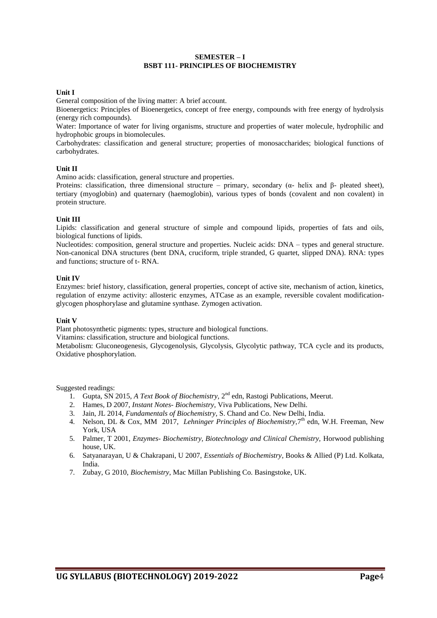#### **SEMESTER – I BSBT 111- PRINCIPLES OF BIOCHEMISTRY**

#### **Unit I**

General composition of the living matter: A brief account.

Bioenergetics: Principles of Bioenergetics, concept of free energy, compounds with free energy of hydrolysis (energy rich compounds).

Water: Importance of water for living organisms, structure and properties of water molecule, hydrophilic and hydrophobic groups in biomolecules.

Carbohydrates: classification and general structure; properties of monosaccharides; biological functions of carbohydrates.

#### **Unit II**

Amino acids: classification, general structure and properties.

Proteins: classification, three dimensional structure – primary, secondary (α- helix and β- pleated sheet), tertiary (myoglobin) and quaternary (haemoglobin), various types of bonds (covalent and non covalent) in protein structure.

#### **Unit III**

Lipids: classification and general structure of simple and compound lipids, properties of fats and oils, biological functions of lipids.

Nucleotides: composition, general structure and properties. Nucleic acids: DNA – types and general structure. Non-canonical DNA structures (bent DNA, cruciform, triple stranded, G quartet, slipped DNA). RNA: types and functions; structure of t- RNA.

#### **Unit IV**

Enzymes: brief history, classification, general properties, concept of active site, mechanism of action, kinetics, regulation of enzyme activity: allosteric enzymes, ATCase as an example, reversible covalent modificationglycogen phosphorylase and glutamine synthase. Zymogen activation.

#### **Unit V**

Plant photosynthetic pigments: types, structure and biological functions.

Vitamins: classification, structure and biological functions.

Metabolism: Gluconeogenesis, Glycogenolysis, Glycolysis, Glycolytic pathway, TCA cycle and its products, Oxidative phosphorylation.

- 1. Gupta, SN 2015, *A Text Book of Biochemistry*, 2<sup>nd</sup> edn, Rastogi Publications, Meerut.
- 2. Hames, D 2007, *Instant Notes- Biochemistry*, Viva Publications, New Delhi.
- 3. Jain, JL 2014, *Fundamentals of Biochemistry*, S. Chand and Co. New Delhi, India.
- 4. Nelson, DL & Cox, MM 2017, *Lehninger Principles of Biochemistry*, 7<sup>th</sup> edn, W.H. Freeman, New York, USA
- 5. Palmer, T 2001, *Enzymes- Biochemistry, Biotechnology and Clinical Chemistry,* Horwood publishing house, UK.
- 6. Satyanarayan, U & Chakrapani, U 2007, *Essentials of Biochemistry*, Books & Allied (P) Ltd. Kolkata, India.
- 7. Zubay, G 2010, *Biochemistry*, Mac Millan Publishing Co. Basingstoke, UK.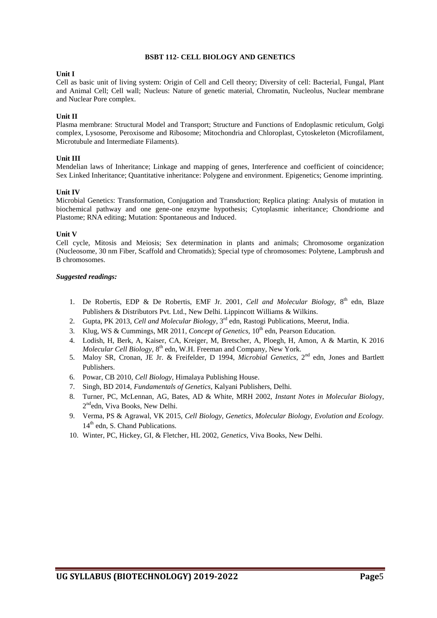#### **BSBT 112- CELL BIOLOGY AND GENETICS**

#### **Unit I**

Cell as basic unit of living system: Origin of Cell and Cell theory; Diversity of cell: Bacterial, Fungal, Plant and Animal Cell; Cell wall; Nucleus: Nature of genetic material, Chromatin, Nucleolus, Nuclear membrane and Nuclear Pore complex.

#### **Unit II**

Plasma membrane: Structural Model and Transport; Structure and Functions of Endoplasmic reticulum, Golgi complex, Lysosome, Peroxisome and Ribosome; Mitochondria and Chloroplast, Cytoskeleton (Microfilament, Microtubule and Intermediate Filaments).

#### **Unit III**

Mendelian laws of Inheritance; Linkage and mapping of genes, Interference and coefficient of coincidence; Sex Linked Inheritance; Quantitative inheritance: Polygene and environment. Epigenetics; Genome imprinting.

#### **Unit IV**

Microbial Genetics: Transformation, Conjugation and Transduction; Replica plating: Analysis of mutation in biochemical pathway and one gene-one enzyme hypothesis; Cytoplasmic inheritance; Chondriome and Plastome; RNA editing; Mutation: Spontaneous and Induced.

#### **Unit V**

Cell cycle, Mitosis and Meiosis; Sex determination in plants and animals; Chromosome organization (Nucleosome, 30 nm Fiber, Scaffold and Chromatids); Special type of chromosomes: Polytene, Lampbrush and B chromosomes.

- 1. De Robertis, EDP & De Robertis, EMF Jr. 2001, Cell and Molecular Biology, 8<sup>th</sup> edn, Blaze Publishers & Distributors Pvt. Ltd., New Delhi. Lippincott Williams & Wilkins.
- 2. Gupta, PK 2013, *Cell and Molecular Biology*, 3<sup>rd</sup> edn, Rastogi Publications, Meerut, India.
- 3. Klug, WS & Cummings, MR 2011, *Concept of Genetics,* 10th edn, Pearson Education.
- 4. Lodish, H, Berk, A, Kaiser, CA, Kreiger, M, Bretscher, A, Ploegh, H, Amon, A & Martin, K 2016 Molecular Cell Biology, 8<sup>th</sup> edn, W.H. Freeman and Company, New York.
- 5. Maloy SR, Cronan, JE Jr. & Freifelder, D 1994, *Microbial Genetics*, 2<sup>nd</sup> edn, Jones and Bartlett Publishers.
- 6. Powar, CB 2010, *Cell Biology*, Himalaya Publishing House.
- 7. Singh, BD 2014, *Fundamentals of Genetics*, Kalyani Publishers, Delhi.
- 8. Turner, PC, McLennan, AG, Bates, AD & White, MRH 2002, *Instant Notes in Molecular Biolog*y, 2<sup>nd</sup>edn, Viva Books, New Delhi.
- 9. Verma, PS & Agrawal, VK 2015, *Cell Biology, Genetics, Molecular Biology, Evolution and Ecology.* 14<sup>th</sup> edn, S. Chand Publications.
- 10. Winter, PC, Hickey, GI, & Fletcher, HL 2002, *Genetics*, Viva Books, New Delhi.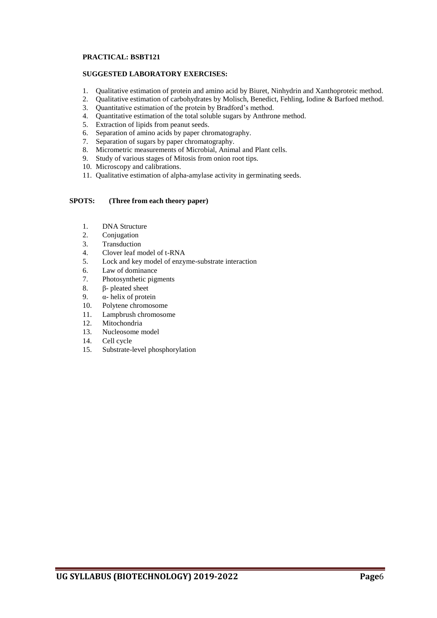#### **PRACTICAL: BSBT121**

#### **SUGGESTED LABORATORY EXERCISES:**

- 1. Qualitative estimation of protein and amino acid by Biuret, Ninhydrin and Xanthoproteic method.
- 2. Qualitative estimation of carbohydrates by Molisch, Benedict, Fehling, Iodine & Barfoed method.
- 3. Quantitative estimation of the protein by Bradford's method.<br>4. Ouantitative estimation of the total soluble sugars by Anthron
- Quantitative estimation of the total soluble sugars by Anthrone method.
- 5. Extraction of lipids from peanut seeds.
- 6. Separation of amino acids by paper chromatography.
- 7. Separation of sugars by paper chromatography.
- 8. Micrometric measurements of Microbial, Animal and Plant cells.
- 9. Study of various stages of Mitosis from onion root tips.
- 10. Microscopy and calibrations.
- 11. Qualitative estimation of alpha-amylase activity in germinating seeds.

- 1. DNA Structure
- 2. Conjugation
- 3. Transduction
- 4. Clover leaf model of t-RNA
- 5. Lock and key model of enzyme-substrate interaction
- 6. Law of dominance
- 7. Photosynthetic pigments
- 8. β- pleated sheet
- 9. α- helix of protein
- 10. Polytene chromosome
- 11. Lampbrush chromosome
- 12. Mitochondria
- 13. Nucleosome model
- 14. Cell cycle
- 15. Substrate-level phosphorylation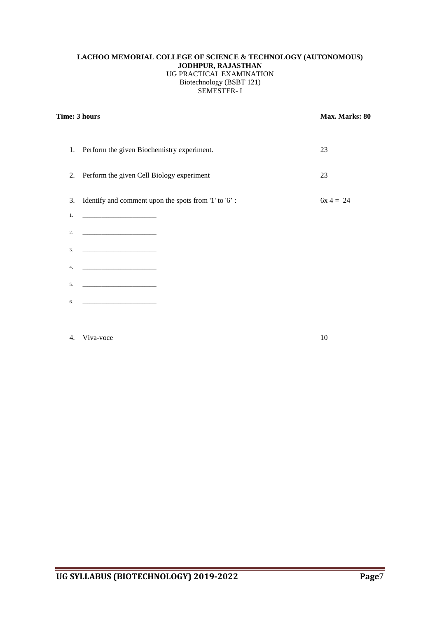#### **LACHOO MEMORIAL COLLEGE OF SCIENCE & TECHNOLOGY (AUTONOMOUS) JODHPUR, RAJASTHAN** UG PRACTICAL EXAMINATION Biotechnology (BSBT 121) SEMESTER- I

| Time: 3 hours | Max. Marks: 80                                       |             |
|---------------|------------------------------------------------------|-------------|
|               | 1. Perform the given Biochemistry experiment.        | 23          |
| 2.            | Perform the given Cell Biology experiment            | 23          |
| 3.            | Identify and comment upon the spots from '1' to '6': | $6x 4 = 24$ |
| 1.            |                                                      |             |
| 2.            |                                                      |             |
| 3.            |                                                      |             |
| 4.            |                                                      |             |
| 5.            |                                                      |             |
| 6.            |                                                      |             |
|               |                                                      |             |

#### 4. Viva-voce 10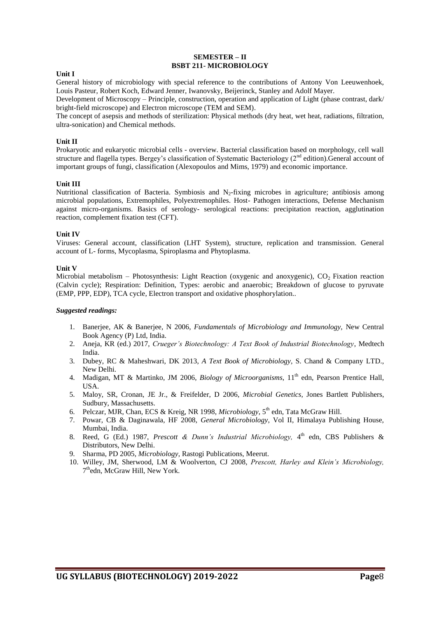#### **SEMESTER – II BSBT 211- MICROBIOLOGY**

#### **Unit I**

General history of microbiology with special reference to the contributions of Antony Von Leeuwenhoek, Louis Pasteur, Robert Koch, Edward Jenner, Iwanovsky, Beijerinck, Stanley and Adolf Mayer.

Development of Microscopy – Principle, construction, operation and application of Light (phase contrast, dark/ bright-field microscope) and Electron microscope (TEM and SEM).

The concept of asepsis and methods of sterilization: Physical methods (dry heat, wet heat, radiations, filtration, ultra-sonication) and Chemical methods.

#### **Unit II**

Prokaryotic and eukaryotic microbial cells - overview. Bacterial classification based on morphology, cell wall structure and flagella types. Bergey's classification of Systematic Bacteriology (2<sup>nd</sup> edition). General account of important groups of fungi, classification (Alexopoulos and Mims, 1979) and economic importance.

#### **Unit III**

Nutritional classification of Bacteria. Symbiosis and  $N_2$ -fixing microbes in agriculture; antibiosis among microbial populations, Extremophiles, Polyextremophiles. Host- Pathogen interactions, Defense Mechanism against micro-organisms. Basics of serology- serological reactions: precipitation reaction, agglutination reaction, complement fixation test (CFT).

#### **Unit IV**

Viruses: General account, classification (LHT System), structure, replication and transmission. General account of L- forms, Mycoplasma, Spiroplasma and Phytoplasma.

#### **Unit V**

Microbial metabolism – Photosynthesis: Light Reaction (oxygenic and anoxygenic),  $CO<sub>2</sub>$  Fixation reaction (Calvin cycle); Respiration: Definition, Types: aerobic and anaerobic; Breakdown of glucose to pyruvate (EMP, PPP, EDP), TCA cycle, Electron transport and oxidative phosphorylation..

- 1. Banerjee, AK & Banerjee, N 2006, *Fundamentals of Microbiology and Immunology,* New Central Book Agency (P) Ltd, India.
- 2. Aneja, KR (ed.) 2017, *Crueger's Biotechnology: A Text Book of Industrial Biotechnology*, Medtech India.
- 3. Dubey, RC & Maheshwari, DK 2013, *A Text Book of Microbiology,* S. Chand & Company LTD., New Delhi.
- 4. Madigan, MT & Martinko, JM 2006, *Biology of Microorganisms*, 11<sup>th</sup> edn, Pearson Prentice Hall, USA.
- 5. Maloy, SR, Cronan, JE Jr., & Freifelder, D 2006, *Microbial Genetics*, Jones Bartlett Publishers, Sudbury, Massachusetts.
- 6. Pelczar, MJR, Chan, ECS & Kreig, NR 1998, *Microbiology*, 5th edn, Tata McGraw Hill.
- 7. Powar, CB & Daginawala, HF 2008, *General Microbiology*, Vol II, Himalaya Publishing House, Mumbai, India.
- 8. Reed, G (Ed.) 1987, *Prescott & Dunn's Industrial Microbiology*, 4<sup>th</sup> edn, CBS Publishers & Distributors, New Delhi.
- 9. Sharma, PD 2005, *Microbiology,* Rastogi Publications, Meerut.
- 10. Willey, JM, Sherwood, LM & Woolverton, CJ 2008, *Prescott, Harley and Klein's Microbiology,* 7<sup>th</sup>edn, McGraw Hill, New York.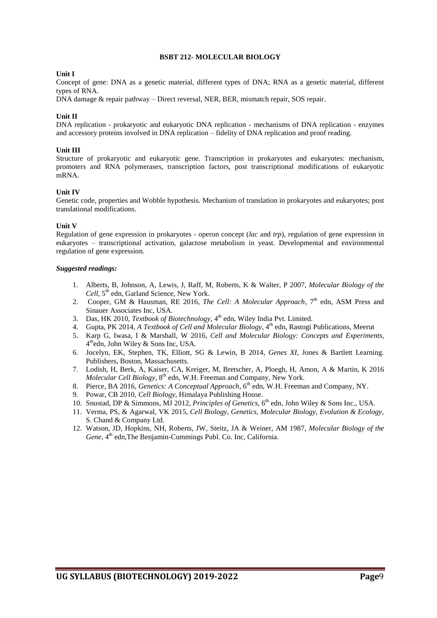#### **BSBT 212- MOLECULAR BIOLOGY**

#### **Unit I**

Concept of gene: DNA as a genetic material, different types of DNA; RNA as a genetic material, different types of RNA.

DNA damage & repair pathway – Direct reversal, NER, BER, mismatch repair, SOS repair.

#### **Unit II**

DNA replication - prokaryotic and eukaryotic DNA replication - mechanisms of DNA replication - enzymes and accessory proteins involved in DNA replication – fidelity of DNA replication and proof reading.

#### **Unit III**

Structure of prokaryotic and eukaryotic gene. Transcription in prokaryotes and eukaryotes: mechanism, promoters and RNA polymerases, transcription factors, post transcriptional modifications of eukaryotic mRNA.

#### **Unit IV**

Genetic code, properties and Wobble hypothesis. Mechanism of translation in prokaryotes and eukaryotes; post translational modifications.

#### **Unit V**

Regulation of gene expression in prokaryotes - operon concept (*lac* and *trp*), regulation of gene expression in eukaryotes – transcriptional activation, galactose metabolism in yeast. Developmental and environmental regulation of gene expression.

- 1. Alberts, B, Johnson, A, Lewis, J, Raff, M, Roberts, K & Walter, P 2007, *Molecular Biology of the*  Cell, 5<sup>th</sup> edn, Garland Science, New York.
- 2. Cooper, GM & Hausman, RE 2016, *The Cell: A Molecular Approach*, 7<sup>th</sup> edn, ASM Press and Sinauer Associates Inc, USA.
- 3. Das, HK 2010, *Textbook of Biotechnology*, 4 th edn, Wiley India Pvt. Limited.
- 4. Gupta, PK 2014, *A Textbook of Cell and Molecular Biology*, 4<sup>th</sup> edn, Rastogi Publications, Meerut
- 5. Karp G, Iwasa, I & Marshall, W 2016, *Cell and Molecular Biology: Concepts and Experiments*, 4 thedn, John Wiley & Sons Inc, USA.
- 6. Jocelyn, EK, Stephen, TK, Elliott, SG & Lewin, B 2014, *Genes XI*, Jones & Bartlett Learning. Publishers, Boston, Massachusetts.
- 7. Lodish, H, Berk, A, Kaiser, CA, Kreiger, M, Bretscher, A, Ploegh, H, Amon, A & Martin, K 2016 *Molecular Cell Biology,* 8 th edn, W.H. Freeman and Company, New York.
- 8. Pierce, BA 2016, *Genetics: A Conceptual Approach*, 6<sup>th</sup> edn, W.H. Freeman and Company, NY.
- 9. Powar, CB 2010, *Cell Biology*, Himalaya Publishing House.
- 10. Snustad, DP & Simmons, MJ 2012, *Principles of Genetics*, 6 th edn, John Wiley & Sons Inc., USA.
- 11. Verma, PS, & Agarwal, VK 2015, *Cell Biology, Genetics, Molecular Biology, Evolution & Ecology,* S. Chand & Company Ltd.
- 12. Watson, JD, Hopkins, NH, Roberts, JW, Steitz, JA & Weiner, AM 1987, *Molecular Biology of the*  Gene, 4<sup>th</sup> edn,The Benjamin-Cummings Publ. Co. Inc, California.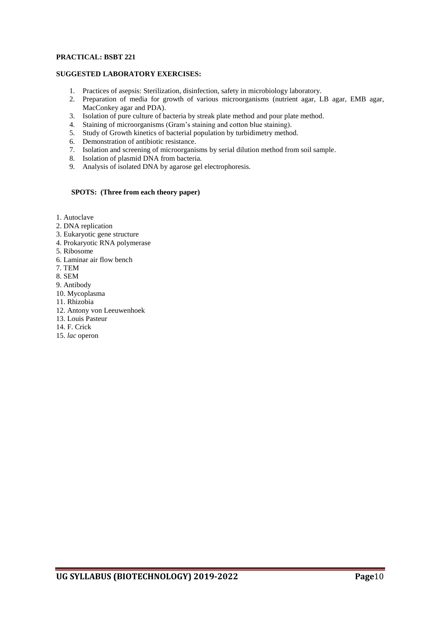#### **PRACTICAL: BSBT 221**

#### **SUGGESTED LABORATORY EXERCISES:**

- 1. Practices of asepsis: Sterilization, disinfection, safety in microbiology laboratory.
- 2. Preparation of media for growth of various microorganisms (nutrient agar, LB agar, EMB agar, MacConkey agar and PDA).
- 3. Isolation of pure culture of bacteria by streak plate method and pour plate method.
- 4. Staining of microorganisms (Gram's staining and cotton blue staining).
- 5. Study of Growth kinetics of bacterial population by turbidimetry method.
- 6. Demonstration of antibiotic resistance.
- 7. Isolation and screening of microorganisms by serial dilution method from soil sample.
- 8. Isolation of plasmid DNA from bacteria.
- 9. Analysis of isolated DNA by agarose gel electrophoresis.

- 1. Autoclave
- 2. DNA replication
- 3. Eukaryotic gene structure
- 4. Prokaryotic RNA polymerase
- 5. Ribosome
- 6. Laminar air flow bench
- 7. TEM
- 8. SEM
- 9. Antibody
- 10. Mycoplasma
- 11. Rhizobia
- 12. Antony von Leeuwenhoek
- 13. Louis Pasteur
- 14. F. Crick
- 15. *lac* operon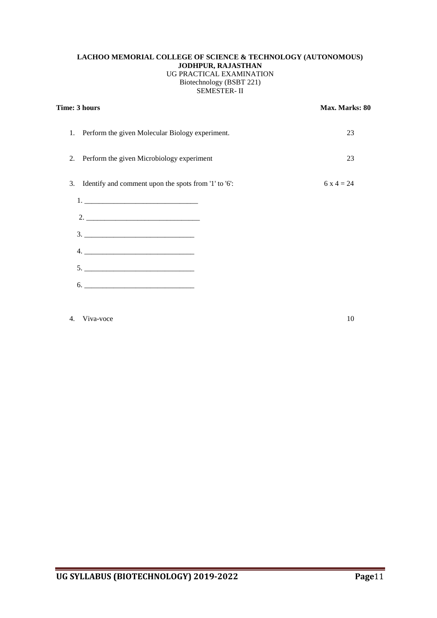#### **LACHOO MEMORIAL COLLEGE OF SCIENCE & TECHNOLOGY (AUTONOMOUS) JODHPUR, RAJASTHAN** UG PRACTICAL EXAMINATION Biotechnology (BSBT 221) SEMESTER- II

| Time: 3 hours                                           | Max. Marks: 80 |  |
|---------------------------------------------------------|----------------|--|
| Perform the given Molecular Biology experiment.<br>1.   | 23             |  |
| 2. Perform the given Microbiology experiment            | 23             |  |
| 3. Identify and comment upon the spots from '1' to '6': | $6x4 = 24$     |  |
|                                                         |                |  |
| $2.$ $\overline{\phantom{a}}$                           |                |  |
|                                                         |                |  |
|                                                         |                |  |
|                                                         |                |  |
| 6.                                                      |                |  |
|                                                         |                |  |

#### 4. Viva-voce 10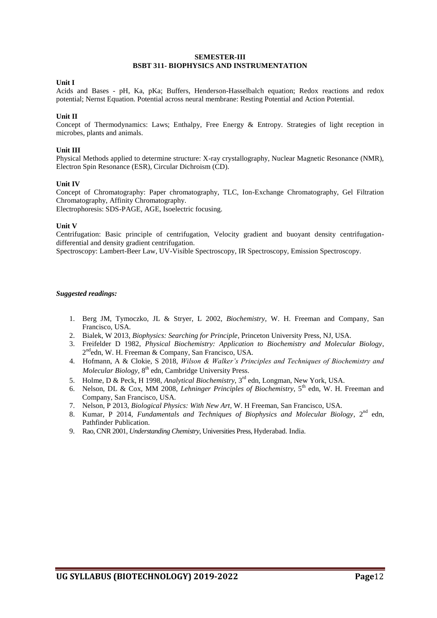#### **SEMESTER-III BSBT 311- BIOPHYSICS AND INSTRUMENTATION**

#### **Unit I**

Acids and Bases - pH, Ka, pKa; Buffers, Henderson-Hasselbalch equation; Redox reactions and redox potential; Nernst Equation. Potential across neural membrane: Resting Potential and Action Potential.

#### **Unit II**

Concept of Thermodynamics: Laws; Enthalpy, Free Energy & Entropy. Strategies of light reception in microbes, plants and animals.

#### **Unit III**

Physical Methods applied to determine structure: X-ray crystallography, Nuclear Magnetic Resonance (NMR), Electron Spin Resonance (ESR), Circular Dichroism (CD).

#### **Unit IV**

Concept of Chromatography: Paper chromatography, TLC, Ion-Exchange Chromatography, Gel Filtration Chromatography, Affinity Chromatography. Electrophoresis: SDS-PAGE, AGE, Isoelectric focusing.

#### **Unit V**

Centrifugation: Basic principle of centrifugation, Velocity gradient and buoyant density centrifugationdifferential and density gradient centrifugation.

Spectroscopy: Lambert-Beer Law, UV-Visible Spectroscopy, IR Spectroscopy, Emission Spectroscopy.

- 1. Berg JM, Tymoczko, JL & Stryer, L 2002, *Biochemistry*, W. H. Freeman and Company, San Francisco, USA.
- 2. Bialek, W 2013, *Biophysics: Searching for Principle*, Princeton University Press, NJ, USA.
- 3. Freifelder D 1982, *Physical Biochemistry: Application to Biochemistry and Molecular Biology*, 2<sup>nd</sup>edn, W. H. Freeman & Company, San Francisco, USA.
- 4. Hofmann, A & Clokie, S 2018, *Wilson & Walker's Principles and Techniques of Biochemistry and*  Molecular Biology, 8<sup>th</sup> edn, Cambridge University Press.
- 5. Holme, D & Peck, H 1998, *Analytical Biochemistry,* 3 rd edn, Longman, New York, USA.
- 6. Nelson, DL & Cox, MM 2008, *Lehninger Principles of Biochemistry*, 5th edn, W. H. Freeman and Company, San Francisco, USA.
- 7. Nelson, P 2013, *Biological Physics: With New Art*, W. H Freeman, San Francisco, USA.
- 8. Kumar, P 2014, *Fundamentals and Techniques of Biophysics and Molecular Biology*, 2<sup>nd</sup> edn, Pathfinder Publication.
- 9. Rao, CNR 2001, *Understanding Chemistry*, Universities Press, Hyderabad. India.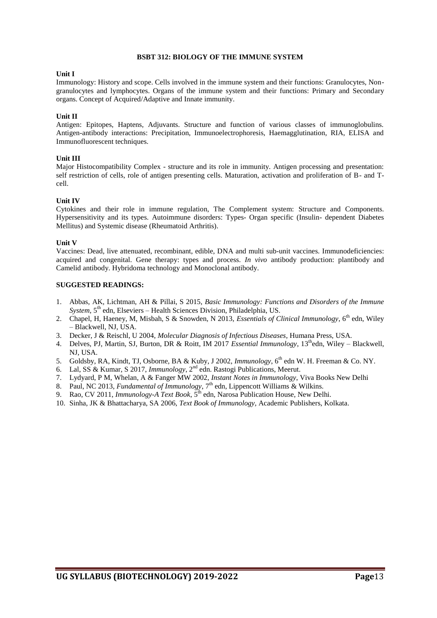#### **BSBT 312: BIOLOGY OF THE IMMUNE SYSTEM**

#### **Unit I**

Immunology: History and scope. Cells involved in the immune system and their functions: Granulocytes, Nongranulocytes and lymphocytes. Organs of the immune system and their functions: Primary and Secondary organs. Concept of Acquired/Adaptive and Innate immunity.

#### **Unit II**

Antigen: Epitopes, Haptens, Adjuvants. Structure and function of various classes of immunoglobulins. Antigen-antibody interactions: Precipitation, Immunoelectrophoresis, Haemagglutination, RIA, ELISA and Immunofluorescent techniques.

#### **Unit III**

Major Histocompatibility Complex - structure and its role in immunity. Antigen processing and presentation: self restriction of cells, role of antigen presenting cells. Maturation, activation and proliferation of B- and Tcell.

#### **Unit IV**

Cytokines and their role in immune regulation, The Complement system: Structure and Components. Hypersensitivity and its types. Autoimmune disorders: Types- Organ specific (Insulin- dependent Diabetes Mellitus) and Systemic disease (Rheumatoid Arthritis).

#### **Unit V**

Vaccines: Dead, live attenuated, recombinant, edible, DNA and multi sub-unit vaccines. Immunodeficiencies: acquired and congenital. Gene therapy: types and process. *In vivo* antibody production: plantibody and Camelid antibody. Hybridoma technology and Monoclonal antibody.

#### **SUGGESTED READINGS:**

- 1. Abbas, AK, Lichtman, AH & Pillai, S 2015, *[Basic Immunology: Functions and Disorders of the Immune](http://www.amazon.co.uk/Basic-Immunology-Functions-Disorders-Immune/dp/141605569X/ref=sr_1_7?s=books&ie=UTF8&qid=1347339626&sr=1-7)*  [System,](http://www.amazon.co.uk/Basic-Immunology-Functions-Disorders-Immune/dp/141605569X/ref=sr_1_7?s=books&ie=UTF8&qid=1347339626&sr=1-7) 5<sup>th</sup> edn, Elseviers – Health Sciences Division, Philadelphia, US.
- 2. Chapel, H, Haeney, M, Misbah, S & Snowden, N 2013, *Essentials of Clinical Immunology*, 6<sup>th</sup> edn, Wiley – Blackwell, NJ, USA.
- 3. Decker, J & Reischl, U 2004, *Molecular Diagnosis of Infectious Diseases*, Humana Press, USA.
- 4. Delves, PJ, Martin, SJ, Burton, DR & Roitt, IM 2017 *Essential Immunology*, 13thedn, Wiley Blackwell, NJ, USA.
- 5. Goldsby, RA, Kindt, TJ, Osborne, BA & Kuby, J 2002, *Immunology*, 6<sup>th</sup> edn W. H. Freeman & Co. NY.
- 6. Lal, SS & Kumar, S 2017, *Immunology*, 2<sup>nd</sup> edn. Rastogi Publications, Meerut.
- 7. Lydyard, P M, Whelan, A & Fanger MW 2002, *Instant Notes in Immunology*, Viva Books New Delhi
- 8. Paul, NC 2013, *Fundamental of Immunology*, 7<sup>th</sup> edn, Lippencott Williams & Wilkins.
- 9. Rao, CV 2011, *Immunology-A Text Book*, 5 th edn, Narosa Publication House, New Delhi.
- 10. Sinha, JK & Bhattacharya, SA 2006, *Text Book of Immunology,* Academic Publishers, Kolkata.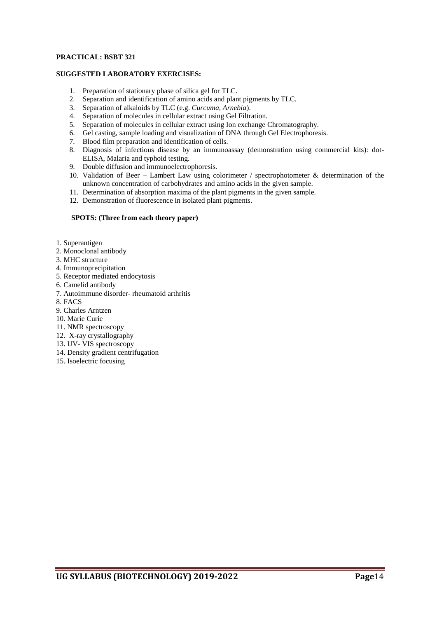#### **PRACTICAL: BSBT 321**

#### **SUGGESTED LABORATORY EXERCISES:**

- 1. Preparation of stationary phase of silica gel for TLC.
- 2. Separation and identification of amino acids and plant pigments by TLC.
- 3. Separation of alkaloids by TLC (e.g. *Curcuma, Arnebia*).
- 4. Separation of molecules in cellular extract using Gel Filtration.
- 5. Separation of molecules in cellular extract using Ion exchange Chromatography.
- 6. Gel casting, sample loading and visualization of DNA through Gel Electrophoresis.
- 7. Blood film preparation and identification of cells.
- 8. Diagnosis of infectious disease by an immunoassay (demonstration using commercial kits): dot-ELISA, Malaria and typhoid testing.
- 9. Double diffusion and immunoelectrophoresis.
- 10. Validation of Beer Lambert Law using colorimeter / spectrophotometer & determination of the unknown concentration of carbohydrates and amino acids in the given sample.
- 11. Determination of absorption maxima of the plant pigments in the given sample.
- 12. Demonstration of fluorescence in isolated plant pigments.

- 1. Superantigen
- 2. Monoclonal antibody
- 3. MHC structure
- 4. Immunoprecipitation
- 5. Receptor mediated endocytosis
- 6. Camelid antibody
- 7. Autoimmune disorder- rheumatoid arthritis
- 8. FACS
- 9. Charles Arntzen
- 10. Marie Curie
- 11. NMR spectroscopy
- 12. X-ray crystallography
- 13. UV- VIS spectroscopy
- 14. Density gradient centrifugation
- 15. Isoelectric focusing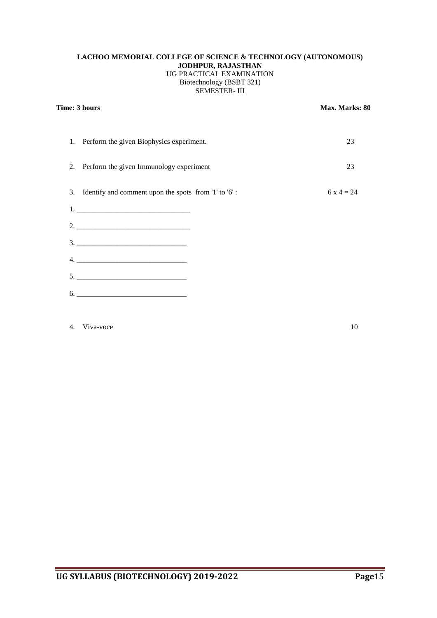#### **LACHOO MEMORIAL COLLEGE OF SCIENCE & TECHNOLOGY (AUTONOMOUS) JODHPUR, RAJASTHAN** UG PRACTICAL EXAMINATION Biotechnology (BSBT 321) SEMESTER- III

| Time: 3 hours                                                            | Max. Marks: 80 |  |
|--------------------------------------------------------------------------|----------------|--|
| Perform the given Biophysics experiment.<br>1.                           | 23             |  |
| Perform the given Immunology experiment<br>2.                            | 23             |  |
| Identify and comment upon the spots from '1' to '6':<br>3.               | 6 x 4 = 24     |  |
|                                                                          |                |  |
|                                                                          |                |  |
|                                                                          |                |  |
|                                                                          |                |  |
|                                                                          |                |  |
| $\begin{tabular}{c} 6. & \textcolor{red}{\textbf{---}} \\ \end{tabular}$ |                |  |
|                                                                          |                |  |

#### 4. Viva-voce 10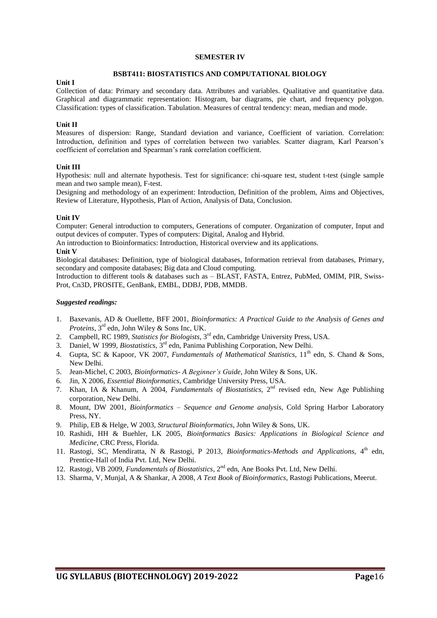#### **SEMESTER IV**

#### **BSBT411: BIOSTATISTICS AND COMPUTATIONAL BIOLOGY**

#### **Unit I**

Collection of data: Primary and secondary data. Attributes and variables. Qualitative and quantitative data. Graphical and diagrammatic representation: Histogram, bar diagrams, pie chart, and frequency polygon. Classification: types of classification. Tabulation. Measures of central tendency: mean, median and mode.

#### **Unit II**

Measures of dispersion: Range, Standard deviation and variance, Coefficient of variation. Correlation: Introduction, definition and types of correlation between two variables. Scatter diagram, Karl Pearson's coefficient of correlation and Spearman's rank correlation coefficient.

#### **Unit III**

Hypothesis: null and alternate hypothesis. Test for significance: chi-square test, student t-test (single sample mean and two sample mean), F-test.

Designing and methodology of an experiment: Introduction, Definition of the problem, Aims and Objectives, Review of Literature, Hypothesis, Plan of Action, Analysis of Data, Conclusion.

#### **Unit IV**

Computer: General introduction to computers, Generations of computer. Organization of computer, Input and output devices of computer. Types of computers: Digital, Analog and Hybrid.

An introduction to Bioinformatics: Introduction, Historical overview and its applications.

#### **Unit V**

Biological databases: Definition, type of biological databases, Information retrieval from databases, Primary, secondary and composite databases; Big data and Cloud computing.

Introduction to different tools & databases such as – BLAST, FASTA, Entrez, PubMed, OMIM, PIR, Swiss-Prot, Cn3D, PROSITE, GenBank, EMBL, DDBJ, PDB, MMDB.

- 1. Baxevanis, AD & Ouellette, BFF 2001, *Bioinformatics: A Practical Guide to the Analysis of Genes and Proteins*, 3 rd edn, John Wiley & Sons Inc, UK.
- 2. Campbell, RC 1989, *Statistics for Biologists*, 3<sup>rd</sup> edn, Cambridge University Press, USA.
- 3. Daniel, W 1999, *Biostatistics*, 3 rd edn, Panima Publishing Corporation, New Delhi.
- 4. Gupta, SC & Kapoor, VK 2007, *Fundamentals of Mathematical Statistics*, 11<sup>th</sup> edn, S. Chand & Sons, New Delhi.
- 5. Jean-Michel, C 2003, *Bioinformatics- A Beginner's Guide*, John Wiley & Sons, UK.
- 6. Jin, X 2006, *Essential Bioinformatics*, Cambridge University Press, USA.
- 7. Khan, IA & Khanum, A 2004, *Fundamentals of Biostatistics,* 2 nd revised edn, New Age Publishing corporation, New Delhi.
- 8. Mount, DW 2001, *Bioinformatics – Sequence and Genome analysis*, Cold Spring Harbor Laboratory Press, NY.
- 9. Philip, EB & Helge, W 2003, *Structural Bioinformatics*, John Wiley & Sons, UK.
- 10. Rashidi, HH & Buehler, LK 2005, *Bioinformatics Basics: Applications in Biological Science and Medicine*, CRC Press, Florida.
- 11. Rastogi, SC, Mendiratta, N & Rastogi, P 2013, *Bioinformatics-Methods and Applications*, 4<sup>th</sup> edn, Prentice-Hall of India Pvt. Ltd, New Delhi.
- 12. Rastogi, VB 2009, *Fundamentals of Biostatistics*, 2<sup>nd</sup> edn, Ane Books Pvt. Ltd, New Delhi.
- 13. Sharma, V, Munjal, A & Shankar, A 2008, *A Text Book of Bioinformatics*, Rastogi Publications, Meerut.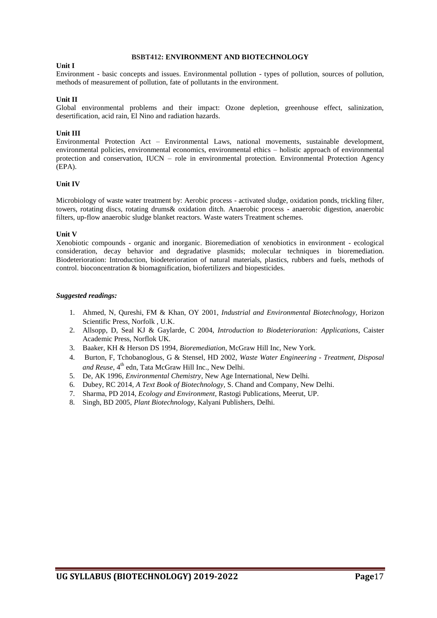#### **BSBT412: ENVIRONMENT AND BIOTECHNOLOGY**

#### **Unit I**

Environment - basic concepts and issues. Environmental pollution - types of pollution, sources of pollution, methods of measurement of pollution, fate of pollutants in the environment.

#### **Unit II**

Global environmental problems and their impact: Ozone depletion, greenhouse effect, salinization, desertification, acid rain, El Nino and radiation hazards.

#### **Unit III**

Environmental Protection Act – Environmental Laws, national movements, sustainable development, environmental policies, environmental economics, environmental ethics – holistic approach of environmental protection and conservation, IUCN – role in environmental protection. Environmental Protection Agency (EPA).

#### **Unit IV**

Microbiology of waste water treatment by: Aerobic process - activated sludge, oxidation ponds, trickling filter, towers, rotating discs, rotating drums& oxidation ditch. Anaerobic process - anaerobic digestion, anaerobic filters, up-flow anaerobic sludge blanket reactors. Waste waters Treatment schemes.

#### **Unit V**

Xenobiotic compounds - organic and inorganic. Bioremediation of xenobiotics in environment - ecological consideration, decay behavior and degradative plasmids; molecular techniques in bioremediation. Biodeterioration: Introduction, biodeterioration of natural materials, plastics, rubbers and fuels, methods of control. bioconcentration & biomagnification, biofertilizers and biopesticides.

- 1. Ahmed, N, Qureshi, FM & Khan, OY 2001, *[Industrial and Environmental Biotechnology,](http://www.horizonpress.com/hsp/books/ind.html)* Horizon Scientific Press, Norfolk , U.K.
- 2. Allsopp, D, Seal KJ & Gaylarde, C 2004, *Introduction to Biodeterioration: Applications,* Caister Academic Press, Norflok UK.
- 3. Baaker, KH & Herson DS 1994*, Bioremediation*, McGraw Hill Inc, New York.
- 4. [Burton,](http://www.amazon.com/s/ref=dp_byline_sr_book_2?ie=UTF8&field-author=Franklin+L.+Burton&search-alias=books&text=Franklin+L.+Burton&sort=relevancerank) F, [Tchobanoglous,](http://www.amazon.com/George-Tchobanoglous/e/B001H6POQ6/ref=dp_byline_cont_book_1) G & [Stensel,](http://www.amazon.com/s/ref=dp_byline_sr_book_3?ie=UTF8&field-author=H.+David+Stensel&search-alias=books&text=H.+David+Stensel&sort=relevancerank) HD 2002, *Waste Water Engineering - Treatment, Disposal*  and Reuse, 4<sup>th</sup> edn, Tata McGraw Hill Inc., New Delhi.
- 5. De, AK 1996, *Environmental Chemistry*, New Age International, New Delhi.
- 6. Dubey, RC 2014, *A Text Book of Biotechnology*, S. Chand and Company, New Delhi.
- 7. Sharma, PD 2014, *Ecology and Environment,* Rastogi Publications, Meerut, UP.
- 8. Singh, BD 2005, *Plant Biotechnology*, Kalyani Publishers, Delhi.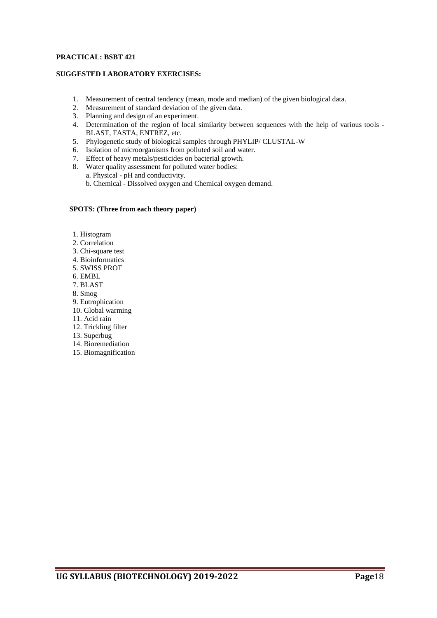#### **PRACTICAL: BSBT 421**

#### **SUGGESTED LABORATORY EXERCISES:**

- 1. Measurement of central tendency (mean, mode and median) of the given biological data.
- 2. Measurement of standard deviation of the given data.
- 3. Planning and design of an experiment.
- 4. Determination of the region of local similarity between sequences with the help of various tools BLAST, FASTA, ENTREZ, etc.
- 5. Phylogenetic study of biological samples through PHYLIP/ CLUSTAL-W
- 6. Isolation of microorganisms from polluted soil and water.
- 7. Effect of heavy metals/pesticides on bacterial growth.
- 8. Water quality assessment for polluted water bodies:
	- a. Physical pH and conductivity.
		- b. Chemical Dissolved oxygen and Chemical oxygen demand.

- 1. Histogram
- 2. Correlation
- 3. Chi-square test
- 4. Bioinformatics
- 5. SWISS PROT
- 6. EMBL
- 7. BLAST
- 8. Smog
- 9. Eutrophication
- 10. Global warming
- 11. Acid rain
- 12. Trickling filter
- 13. Superbug
- 14. Bioremediation
- 15. Biomagnification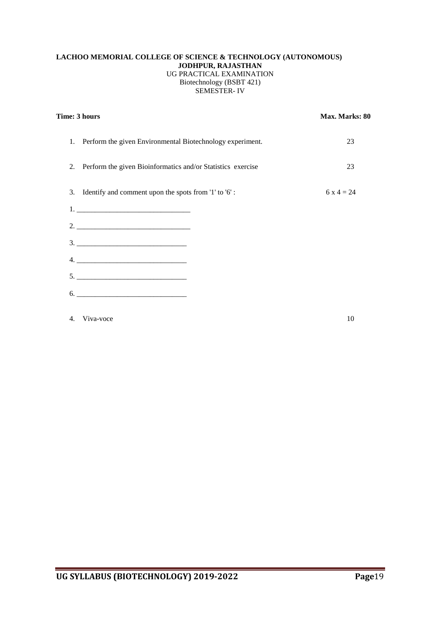#### **LACHOO MEMORIAL COLLEGE OF SCIENCE & TECHNOLOGY (AUTONOMOUS) JODHPUR, RAJASTHAN** UG PRACTICAL EXAMINATION Biotechnology (BSBT 421) SEMESTER- IV

|    | Time: 3 hours                                                | Max. Marks: 80 |  |
|----|--------------------------------------------------------------|----------------|--|
|    | 1. Perform the given Environmental Biotechnology experiment. | 23             |  |
| 2. | Perform the given Bioinformatics and/or Statistics exercise  | 23             |  |
| 3. | Identify and comment upon the spots from '1' to '6':         | 6 x 4 = 24     |  |
|    |                                                              |                |  |
|    |                                                              |                |  |
|    |                                                              |                |  |
|    |                                                              |                |  |
|    |                                                              |                |  |
|    |                                                              |                |  |
| 4. | Viva-voce                                                    | 10             |  |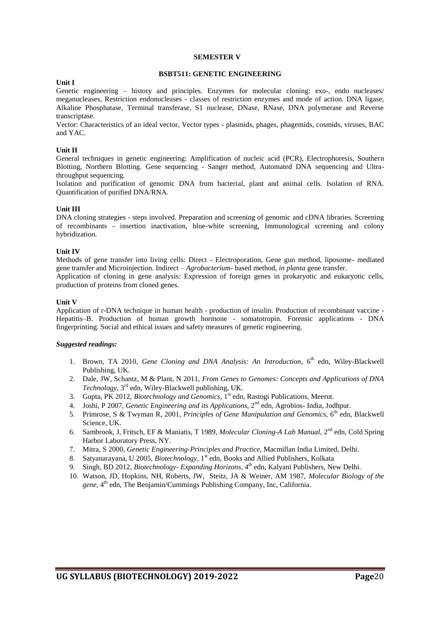#### **SEMESTER V**

#### **BSBT511: GENETIC ENGINEERING**

#### **Unit I**

Genetic engineering – history and principles. Enzymes for molecular cloning: exo-, endo nucleases/ meganucleases, Restriction endonucleases - classes of restriction enzymes and mode of action. DNA ligase, Alkaline Phosphatase, Terminal transferase, S1 nuclease, DNase, RNase, DNA polymerase and Reverse transcriptase.

Vector: Characteristics of an ideal vector, Vector types - plasmids, phages, phagemids, cosmids, viruses, BAC and YAC.

#### **Unit II**

General techniques in genetic engineering: Amplification of nucleic acid (PCR), Electrophoresis, Southern Blotting, Northern Blotting. Gene sequencing - Sanger method, Automated DNA sequencing and Ultrathroughput sequencing.

Isolation and purification of genomic DNA from bacterial, plant and animal cells. Isolation of RNA. Quantification of purified DNA/RNA.

#### **Unit III**

DNA cloning strategies - steps involved. Preparation and screening of genomic and cDNA libraries. Screening of recombinants - insertion inactivation, blue-white screening, Immunological screening and colony hybridization.

#### **Unit IV**

Methods of gene transfer into living cells: Direct - Electroporation, Gene gun method, liposome- mediated gene transfer and Microinjection. Indirect – *Agrobacterium*- based method, *in planta* gene transfer. Application of cloning in gene analysis: Expression of foreign genes in prokaryotic and eukaryotic cells, production of proteins from cloned genes.

#### **Unit V**

Application of r-DNA technique in human health - production of insulin. Production of recombinant vaccine - Hepatitis–B. Production of human growth hormone - somatotropin. Forensic applications - DNA fingerprinting. Social and ethical issues and safety measures of genetic engineering.

- 1. Brown, TA 2010, *Gene Cloning and DNA Analysis: An Introduction*, 6<sup>th</sup> edn, Wiley-Blackwell Publishing, UK.
- 2. Dale, JW, Schantz, M & Plant, N 2011, *From Genes to Genomes: Concepts and Applications of DNA Technology,* 3 rd edn, Wiley-Blackwell publishing, UK.
- 3. Gupta, PK 2012, *Biotechnology and Genomics*, 1 st edn, Rastogi Publications, Meerut.
- 4. Joshi, P 2007, *Genetic Engineering and its Applications*, 2<sup>nd</sup> edn, Agrobios- India, Jodhpur.
- 5. Primrose, S & Twyman R, 2001, *Principles of Gene Manipulation and Genomics*, 6<sup>th</sup> edn, Blackwell Science, UK.
- 6. Sambrook, J, Fritsch, EF & Maniatis, T 1989, Molecular Cloning-A Lab Manual, 2<sup>nd</sup> edn, Cold Spring Harbor Laboratory Press, NY.
- 7. Mitra, S 2000, *Genetic Engineering-Principles and Practice*, Macmillan India Limited, Delhi.
- 8. Satyanarayana, U 2005, *Biotechnology*, 1<sup>st</sup> edn, Books and Allied Publishers, Kolkata
- 9. Singh, BD 2012, *Biotechnology- Expanding Horizons*, 4 th edn, Kalyani Publishers, New Delhi.
- 10. Watson, JD, Hopkins, NH, Roberts, JW, Steitz, JA & Weiner, AM 1987, *Molecular Biology of the*  gene, 4<sup>th</sup> edn, The Benjamin/Cummings Publishing Company, Inc, California.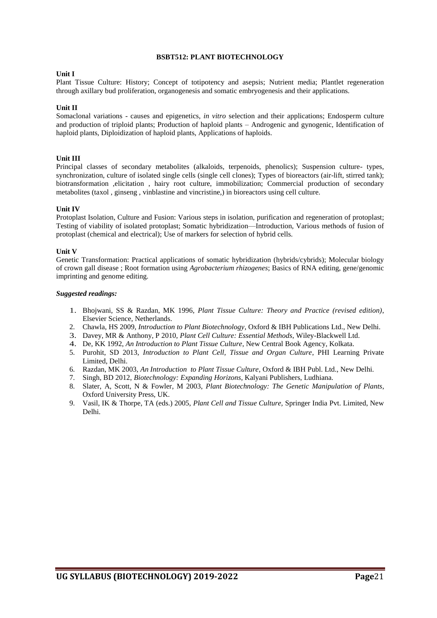#### **BSBT512: PLANT BIOTECHNOLOGY**

#### **Unit I**

Plant Tissue Culture: History; Concept of totipotency and asepsis; Nutrient media; Plantlet regeneration through axillary bud proliferation, organogenesis and somatic embryogenesis and their applications.

#### **Unit II**

Somaclonal variations - causes and epigenetics, *in vitro* selection and their applications; Endosperm culture and production of triploid plants; Production of haploid plants – Androgenic and gynogenic, Identification of haploid plants, Diploidization of haploid plants, Applications of haploids.

#### **Unit III**

Principal classes of secondary metabolites (alkaloids, terpenoids, phenolics); Suspension culture- types, synchronization, culture of isolated single cells (single cell clones); Types of bioreactors (air-lift, stirred tank); biotransformation ,elicitation , hairy root culture, immobilization; Commercial production of secondary metabolites (taxol , ginseng , vinblastine and vincristine,) in bioreactors using cell culture.

#### **Unit IV**

Protoplast Isolation, Culture and Fusion: Various steps in isolation, purification and regeneration of protoplast; Testing of viability of isolated protoplast; Somatic hybridization—Introduction, Various methods of fusion of protoplast (chemical and electrical); Use of markers for selection of hybrid cells.

#### **Unit V**

Genetic Transformation: Practical applications of somatic hybridization (hybrids/cybrids); Molecular biology of crown gall disease ; Root formation using *Agrobacterium rhizogenes*; Basics of RNA editing, gene/genomic imprinting and genome editing.

- 1. Bhojwani, SS & Razdan, MK 1996, *Plant Tissue Culture: Theory and Practice (revised edition)*, Elsevier Science, Netherlands.
- 2. Chawla, HS 2009, *Introduction to Plant Biotechnology*, Oxford & IBH Publications Ltd., New Delhi.
- 3. Davey, MR & Anthony, P 2010, *Plant Cell Culture: Essential Methods*, Wiley-Blackwell Ltd.
- 4. De, KK 1992, *An Introduction to Plant Tissue Culture*, New Central Book Agency, Kolkata.
- 5. Purohit, SD 2013, *Introduction to Plant Cell, Tissue and Organ Culture*, PHI Learning Private Limited, Delhi.
- 6. Razdan, MK 2003, *An Introduction to Plant Tissue Culture*, Oxford & IBH Publ. Ltd., New Delhi.
- 7. Singh, BD 2012, *Biotechnology: Expanding Horizons*, Kalyani Publishers, Ludhiana.
- 8. Slater, A, Scott, N & Fowler, M 2003, *Plant Biotechnology: The Genetic Manipulation of Plants*, Oxford University Press, UK.
- 9. Vasil, IK & Thorpe, TA (eds.) 2005, *Plant Cell and Tissue Culture,* Springer India Pvt. Limited, New Delhi.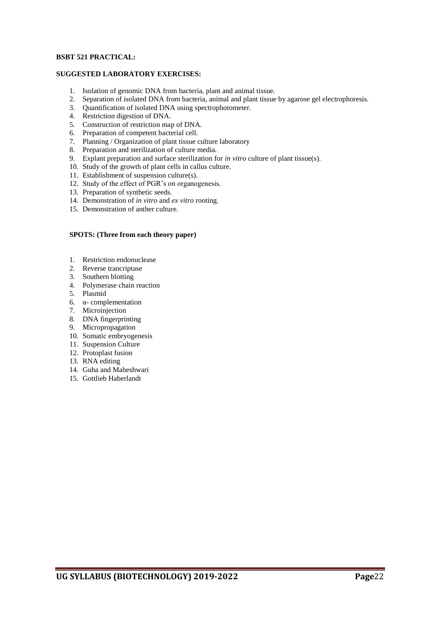#### **BSBT 521 PRACTICAL:**

#### **SUGGESTED LABORATORY EXERCISES:**

- 1. Isolation of genomic DNA from bacteria, plant and animal tissue.
- 2. Separation of isolated DNA from bacteria, animal and plant tissue by agarose gel electrophoresis.
- 3. Quantification of isolated DNA using spectrophotometer.
- 4. Restriction digestion of DNA.
- 5. Construction of restriction map of DNA.
- 6. Preparation of competent bacterial cell.
- 7. Planning / Organization of plant tissue culture laboratory
- 8. Preparation and sterilization of culture media.
- 9. Explant preparation and surface sterilization for *in vitro* culture of plant tissue(s).
- 10. Study of the growth of plant cells in callus culture.
- 11. Establishment of suspension culture(s).
- 12. Study of the effect of PGR's on organogenesis.
- 13. Preparation of synthetic seeds.
- 14. Demonstration of *in vitro* and *ex vitro* rooting.
- 15. Demonstration of anther culture.

- 1. Restriction endonuclease
- 2. Reverse trancriptase
- 3. Southern blotting
- 4. Polymerase chain reaction
- 5. Plasmid
- 6. α- complementation
- 7. Microinjection
- 8. DNA fingerprinting
- 9. Micropropagation
- 10. Somatic embryogenesis
- 11. Suspension Culture
- 12. Protoplast fusion
- 13. RNA editing
- 14. Guha and Maheshwari
- 15. Gottlieb Haberlandt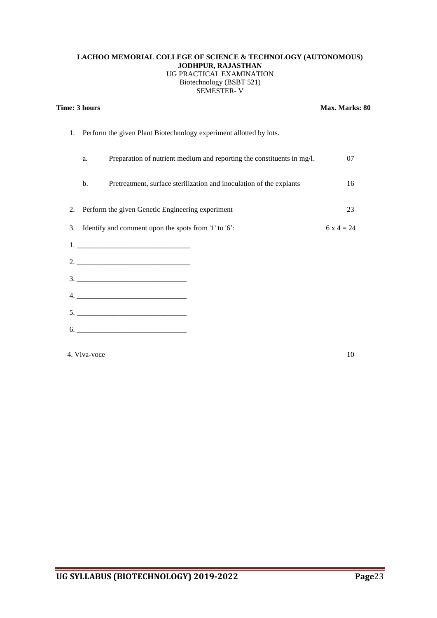#### **LACHOO MEMORIAL COLLEGE OF SCIENCE & TECHNOLOGY (AUTONOMOUS) JODHPUR, RAJASTHAN** UG PRACTICAL EXAMINATION Biotechnology (BSBT 521) SEMESTER- V

|    | Time: 3 hours                                                      |                                                                        | Max. Marks: 80 |
|----|--------------------------------------------------------------------|------------------------------------------------------------------------|----------------|
| 1. | Perform the given Plant Biotechnology experiment allotted by lots. |                                                                        |                |
|    | a.                                                                 | Preparation of nutrient medium and reporting the constituents in mg/l. | 07             |
|    | b.                                                                 | Pretreatment, surface sterilization and inoculation of the explants    | 16             |
| 2. |                                                                    | Perform the given Genetic Engineering experiment                       | 23             |
| 3. |                                                                    | Identify and comment upon the spots from '1' to '6':                   | $6x4 = 24$     |
|    |                                                                    |                                                                        |                |
|    |                                                                    |                                                                        |                |
|    |                                                                    |                                                                        |                |
|    |                                                                    |                                                                        |                |
|    |                                                                    |                                                                        |                |
|    |                                                                    | $6. \underline{\hspace{2cm}}$                                          |                |
|    |                                                                    |                                                                        |                |

4. Viva-voce 10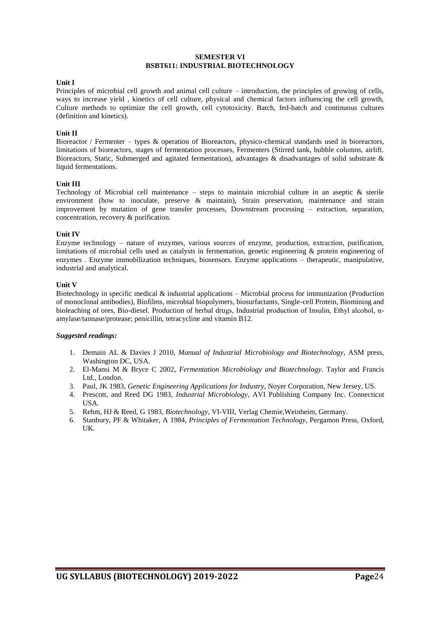#### **SEMESTER VI BSBT611: INDUSTRIAL BIOTECHNOLOGY**

#### **Unit I**

Principles of microbial cell growth and animal cell culture – introduction, the principles of growing of cells, ways to increase yield , kinetics of cell culture, physical and chemical factors influencing the cell growth, Culture methods to optimize the cell growth, cell cytotoxicity. Batch, fed-batch and continuous cultures (definition and kinetics).

#### **Unit II**

Bioreactor / Fermenter – types & operation of Bioreactors, physico-chemical standards used in bioreactors, limitations of bioreactors, stages of fermentation processes, Fermenters (Stirred tank, bubble columns, airlift. Bioreactors, Static, Submerged and agitated fermentation), advantages & disadvantages of solid substrate & liquid fermentations.

#### **Unit III**

Technology of Microbial cell maintenance – steps to maintain microbial culture in an aseptic & sterile environment (how to inoculate, preserve & maintain), Strain preservation, maintenance and strain improvement by mutation of gene transfer processes, Downstream processing – extraction, separation, concentration, recovery & purification.

#### **Unit IV**

Enzyme technology – nature of enzymes, various sources of enzyme, production, extraction, purification, limitations of microbial cells used as catalysts in fermentation, genetic engineering & protein engineering of enzymes . Enzyme immobilization techniques, biosensors. Enzyme applications – therapeutic, manipulative, industrial and analytical.

#### **Unit V**

Biotechnology in specific medical & industrial applications – Microbial process for immunization (Production of monoclonal antibodies), Biofilms, microbial biopolymers, biosurfactants, Single-cell Protein, Biomining and bioleaching of ores, Bio-diesel. Production of herbal drugs, Industrial production of Insulin, Ethyl alcohol, αamylase/tannase/protease; penicillin, tetracycline and vitamin B12.

- 1. Demain AL & Davies J 2010, *Manual of Industrial Microbiology and Biotechnology*, ASM press, Washington DC, USA.
- 2. El-Mansi M & Bryce C 2002, *Fermentation Microbiology and Biotechnology*. Taylor and Francis Ltd., London.
- 3. Paul, JK 1983, *Genetic Engineering Applications for Industry*, Noyer Corporation, New Jersey, US.
- 4. Prescott, and Reed DG 1983, *Industrial Microbiology*, AVI Publishing Company Inc. Connecticut USA.
- 5. Rehm, HJ & Reed, G 1983, *Biotechnology*, VI-VIII, Verlag Chemie,Weinheim, Germany.
- 6. Stanbury, PF & Whitaker, A 1984, *Principles of Fermentation Technology*, Pergamon Press, Oxford, UK.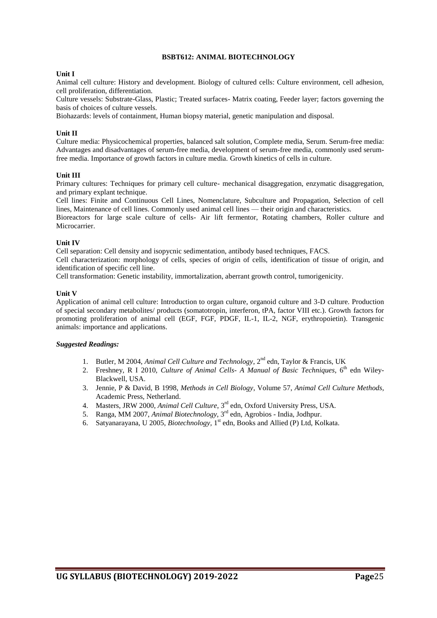#### **BSBT612: ANIMAL BIOTECHNOLOGY**

#### **Unit I**

Animal cell culture: History and development. Biology of cultured cells: Culture environment, cell adhesion, cell proliferation, differentiation.

Culture vessels: Substrate-Glass, Plastic; Treated surfaces- Matrix coating, Feeder layer; factors governing the basis of choices of culture vessels.

Biohazards: levels of containment, Human biopsy material, genetic manipulation and disposal.

#### **Unit II**

Culture media: Physicochemical properties, balanced salt solution, Complete media, Serum. Serum-free media: Advantages and disadvantages of serum-free media, development of serum-free media, commonly used serumfree media. Importance of growth factors in culture media. Growth kinetics of cells in culture.

#### **Unit III**

Primary cultures: Techniques for primary cell culture- mechanical disaggregation, enzymatic disaggregation, and primary explant technique.

Cell lines: Finite and Continuous Cell Lines, Nomenclature, Subculture and Propagation, Selection of cell lines, Maintenance of cell lines. Commonly used animal cell lines — their origin and characteristics.

Bioreactors for large scale culture of cells- Air lift fermentor, Rotating chambers, Roller culture and Microcarrier.

#### **Unit IV**

Cell separation: Cell density and isopycnic sedimentation, antibody based techniques, FACS.

Cell characterization: morphology of cells, species of origin of cells, identification of tissue of origin, and identification of specific cell line.

Cell transformation: Genetic instability, immortalization, aberrant growth control, tumorigenicity.

#### **Unit V**

Application of animal cell culture: Introduction to organ culture, organoid culture and 3-D culture. Production of special secondary metabolites/ products (somatotropin, interferon, tPA, factor VIII etc.). Growth factors for promoting proliferation of animal cell (EGF, FGF, PDGF, IL-1, IL-2, NGF, erythropoietin). Transgenic animals: importance and applications.

- 1. Butler, M 2004, *Animal Cell Culture and Technology*, 2<sup>nd</sup> edn, Taylor & Francis, UK
- 2. Freshney, R I 2010, *Culture of Animal Cells- A Manual of Basic Techniques*, 6<sup>th</sup> edn Wiley-Blackwell, USA.
- 3. Jennie, P & David, B 1998, *Methods in Cell Biology*, Volume 57, *Animal Cell Culture Methods,* Academic Press, Netherland.
- 4. Masters, JRW 2000, *Animal Cell Culture*, 3<sup>rd</sup> edn, Oxford University Press, USA.
- 5. Ranga, MM 2007, *Animal Biotechnology*, 3<sup>rd</sup> edn, Agrobios India, Jodhpur.
- 6. Satyanarayana, U 2005, *Biotechnology*, 1<sup>st</sup> edn, Books and Allied (P) Ltd, Kolkata.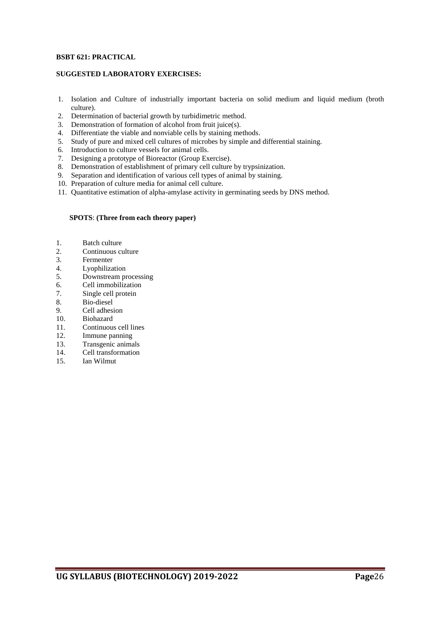#### **BSBT 621: PRACTICAL**

#### **SUGGESTED LABORATORY EXERCISES:**

- 1. Isolation and Culture of industrially important bacteria on solid medium and liquid medium (broth culture).
- 2. Determination of bacterial growth by turbidimetric method.
- 3. Demonstration of formation of alcohol from fruit juice(s).
- 4. Differentiate the viable and nonviable cells by staining methods.
- 5. Study of pure and mixed cell cultures of microbes by simple and differential staining.
- 6. Introduction to culture vessels for animal cells.
- 7. Designing a prototype of Bioreactor (Group Exercise).
- 8. Demonstration of establishment of primary cell culture by trypsinization.
- 9. Separation and identification of various cell types of animal by staining.
- 10. Preparation of culture media for animal cell culture.
- 11. Quantitative estimation of alpha-amylase activity in germinating seeds by DNS method.

- 1. Batch culture
- 2. Continuous culture
- 3. Fermenter
- 4. Lyophilization<br>5. Downstream pro
- 5. Downstream processing
- 6. Cell immobilization<br>7. Single cell protein
- Single cell protein
- 8. Bio-diesel
- 9. Cell adhesion
- 10. Biohazard
- 11. Continuous cell lines
- 12. Immune panning
- 13. Transgenic animals
- 14. Cell transformation
- 15. Ian Wilmut